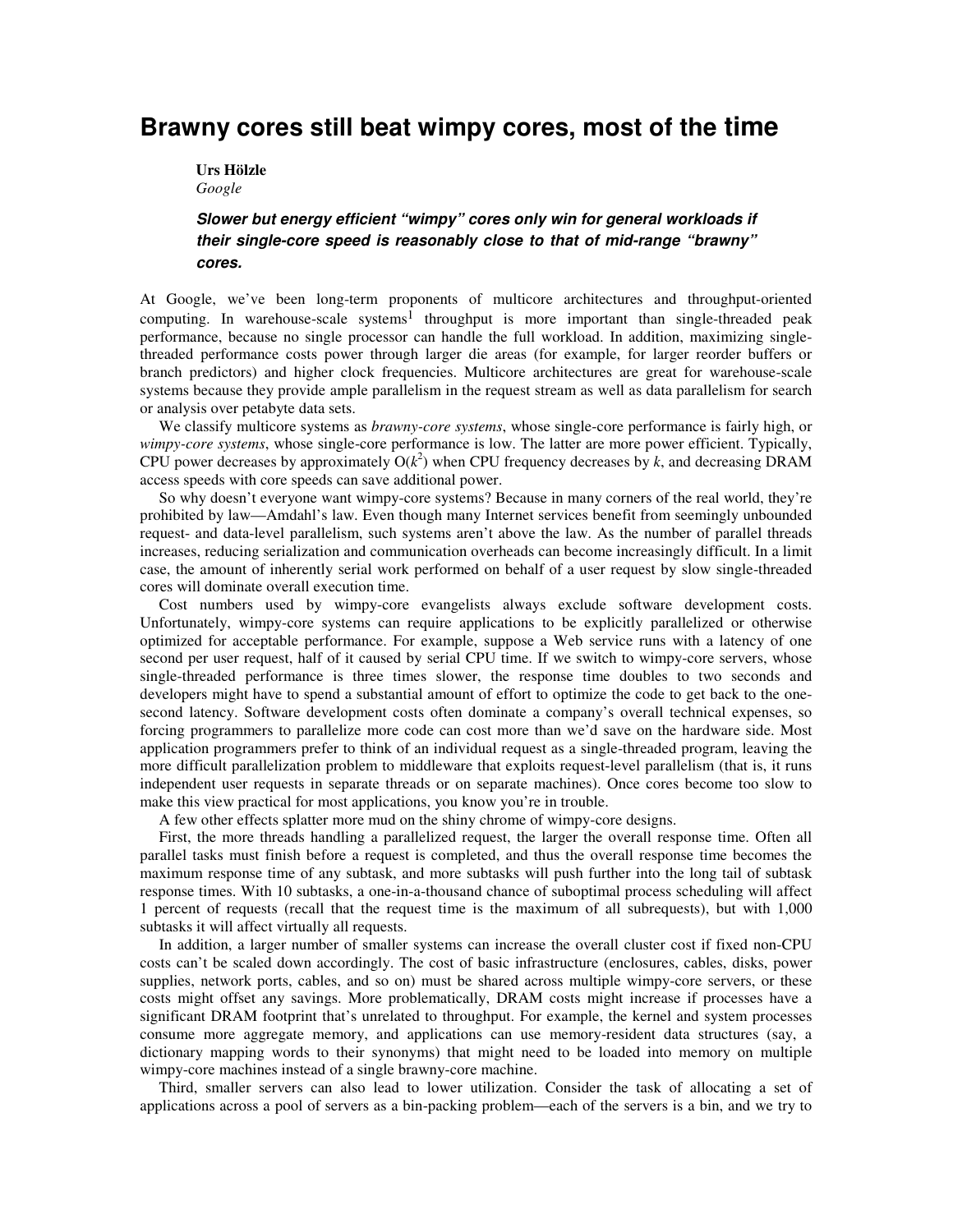## **Brawny cores still beat wimpy cores, most of the time**

## **Urs Hölzle**  *Google*

## **Slower but energy efficient "wimpy" cores only win for general workloads if their single-core speed is reasonably close to that of mid-range "brawny" cores.**

At Google, we've been long-term proponents of multicore architectures and throughput-oriented computing. In warehouse-scale systems<sup>1</sup> throughput is more important than single-threaded peak performance, because no single processor can handle the full workload. In addition, maximizing singlethreaded performance costs power through larger die areas (for example, for larger reorder buffers or branch predictors) and higher clock frequencies. Multicore architectures are great for warehouse-scale systems because they provide ample parallelism in the request stream as well as data parallelism for search or analysis over petabyte data sets.

We classify multicore systems as *brawny-core systems*, whose single-core performance is fairly high, or *wimpy-core systems*, whose single-core performance is low. The latter are more power efficient. Typically, CPU power decreases by approximately  $O(k^2)$  when CPU frequency decreases by *k*, and decreasing DRAM access speeds with core speeds can save additional power.

So why doesn't everyone want wimpy-core systems? Because in many corners of the real world, they're prohibited by law—Amdahl's law. Even though many Internet services benefit from seemingly unbounded request- and data-level parallelism, such systems aren't above the law. As the number of parallel threads increases, reducing serialization and communication overheads can become increasingly difficult. In a limit case, the amount of inherently serial work performed on behalf of a user request by slow single-threaded cores will dominate overall execution time.

Cost numbers used by wimpy-core evangelists always exclude software development costs. Unfortunately, wimpy-core systems can require applications to be explicitly parallelized or otherwise optimized for acceptable performance. For example, suppose a Web service runs with a latency of one second per user request, half of it caused by serial CPU time. If we switch to wimpy-core servers, whose single-threaded performance is three times slower, the response time doubles to two seconds and developers might have to spend a substantial amount of effort to optimize the code to get back to the onesecond latency. Software development costs often dominate a company's overall technical expenses, so forcing programmers to parallelize more code can cost more than we'd save on the hardware side. Most application programmers prefer to think of an individual request as a single-threaded program, leaving the more difficult parallelization problem to middleware that exploits request-level parallelism (that is, it runs independent user requests in separate threads or on separate machines). Once cores become too slow to make this view practical for most applications, you know you're in trouble.

A few other effects splatter more mud on the shiny chrome of wimpy-core designs.

First, the more threads handling a parallelized request, the larger the overall response time. Often all parallel tasks must finish before a request is completed, and thus the overall response time becomes the maximum response time of any subtask, and more subtasks will push further into the long tail of subtask response times. With 10 subtasks, a one-in-a-thousand chance of suboptimal process scheduling will affect 1 percent of requests (recall that the request time is the maximum of all subrequests), but with 1,000 subtasks it will affect virtually all requests.

In addition, a larger number of smaller systems can increase the overall cluster cost if fixed non-CPU costs can't be scaled down accordingly. The cost of basic infrastructure (enclosures, cables, disks, power supplies, network ports, cables, and so on) must be shared across multiple wimpy-core servers, or these costs might offset any savings. More problematically, DRAM costs might increase if processes have a significant DRAM footprint that's unrelated to throughput. For example, the kernel and system processes consume more aggregate memory, and applications can use memory-resident data structures (say, a dictionary mapping words to their synonyms) that might need to be loaded into memory on multiple wimpy-core machines instead of a single brawny-core machine.

Third, smaller servers can also lead to lower utilization. Consider the task of allocating a set of applications across a pool of servers as a bin-packing problem—each of the servers is a bin, and we try to